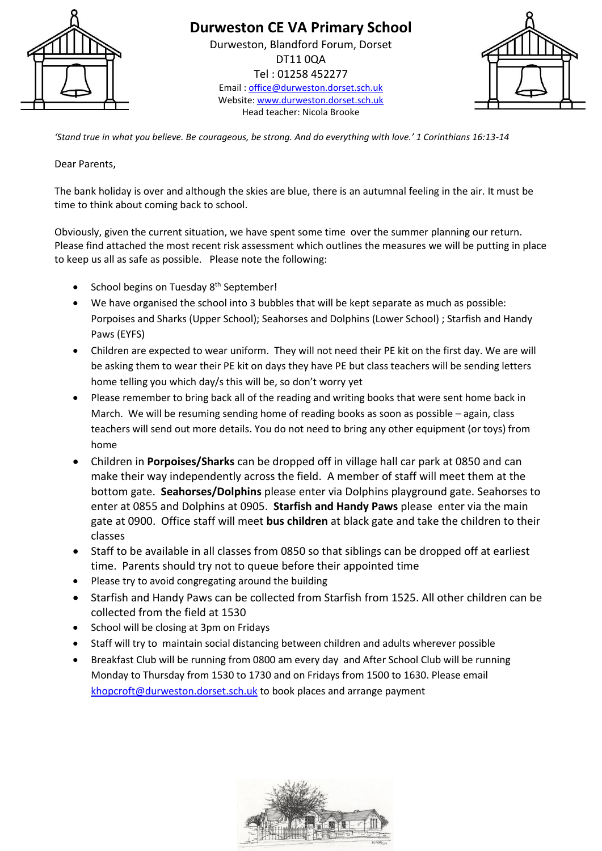

## **Durweston CE VA Primary School**

Durweston, Blandford Forum, Dorset DT11 0QA Tel : 01258 452277 Email : [office@durweston.dorset.sch.uk](mailto:office@durweston.dorset.sch.uk) Website[: www.durweston.dorset.sch.uk](http://www.durweston.dorset.sch.uk/) Head teacher: Nicola Brooke



*'Stand true in what you believe. Be courageous, be strong. And do everything with love.' 1 Corinthians 16:13-14*

Dear Parents,

The bank holiday is over and although the skies are blue, there is an autumnal feeling in the air. It must be time to think about coming back to school.

Obviously, given the current situation, we have spent some time over the summer planning our return. Please find attached the most recent risk assessment which outlines the measures we will be putting in place to keep us all as safe as possible. Please note the following:

- School begins on Tuesday 8<sup>th</sup> September!
- We have organised the school into 3 bubbles that will be kept separate as much as possible: Porpoises and Sharks (Upper School); Seahorses and Dolphins (Lower School) ; Starfish and Handy Paws (EYFS)
- Children are expected to wear uniform. They will not need their PE kit on the first day. We are will be asking them to wear their PE kit on days they have PE but class teachers will be sending letters home telling you which day/s this will be, so don't worry yet
- Please remember to bring back all of the reading and writing books that were sent home back in March. We will be resuming sending home of reading books as soon as possible – again, class teachers will send out more details. You do not need to bring any other equipment (or toys) from home
- Children in **Porpoises/Sharks** can be dropped off in village hall car park at 0850 and can make their way independently across the field. A member of staff will meet them at the bottom gate. **Seahorses/Dolphins** please enter via Dolphins playground gate. Seahorses to enter at 0855 and Dolphins at 0905. **Starfish and Handy Paws** please enter via the main gate at 0900. Office staff will meet **bus children** at black gate and take the children to their classes
- Staff to be available in all classes from 0850 so that siblings can be dropped off at earliest time. Parents should try not to queue before their appointed time
- Please try to avoid congregating around the building
- Starfish and Handy Paws can be collected from Starfish from 1525. All other children can be collected from the field at 1530
- School will be closing at 3pm on Fridays
- Staff will try to maintain social distancing between children and adults wherever possible
- Breakfast Club will be running from 0800 am every day and After School Club will be running Monday to Thursday from 1530 to 1730 and on Fridays from 1500 to 1630. Please email [khopcroft@durweston.dorset.sch.uk](mailto:khopcroft@durweston.dorset.sch.uk) to book places and arrange payment

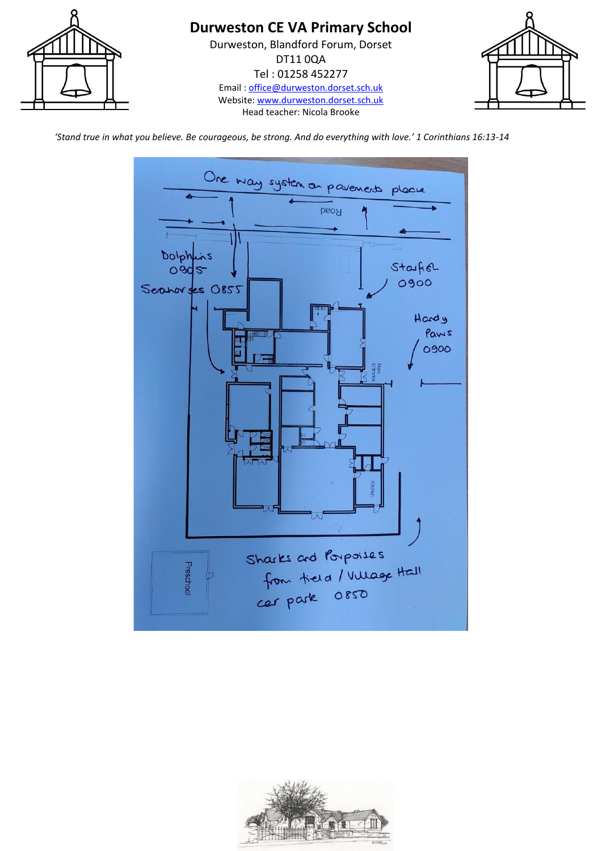

*'Stand true in what you believe. Be courageous, be strong. And do everything with love.' 1 Corinthians 16:13-14*